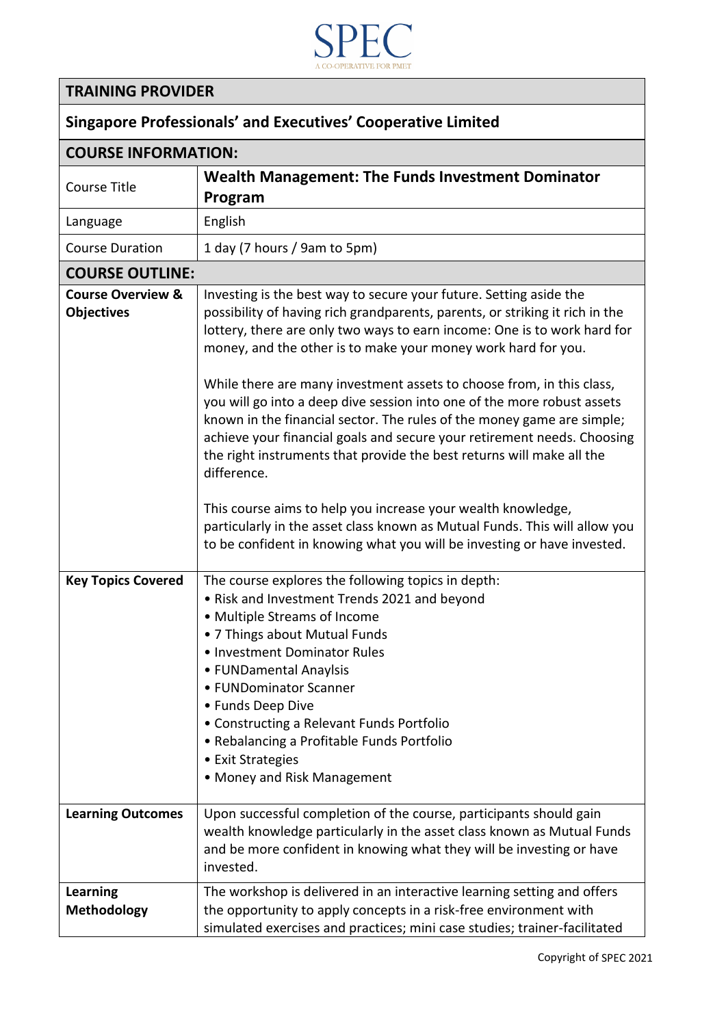

## **TRAINING PROVIDER**

| <b>Singapore Professionals' and Executives' Cooperative Limited</b> |                                                                                                                                                                                                                                                                                                                                                                                                                                                                                                                                                                                                                                                                                                                                                                                                                                                                                                                           |  |
|---------------------------------------------------------------------|---------------------------------------------------------------------------------------------------------------------------------------------------------------------------------------------------------------------------------------------------------------------------------------------------------------------------------------------------------------------------------------------------------------------------------------------------------------------------------------------------------------------------------------------------------------------------------------------------------------------------------------------------------------------------------------------------------------------------------------------------------------------------------------------------------------------------------------------------------------------------------------------------------------------------|--|
| <b>COURSE INFORMATION:</b>                                          |                                                                                                                                                                                                                                                                                                                                                                                                                                                                                                                                                                                                                                                                                                                                                                                                                                                                                                                           |  |
| Course Title                                                        | <b>Wealth Management: The Funds Investment Dominator</b><br>Program                                                                                                                                                                                                                                                                                                                                                                                                                                                                                                                                                                                                                                                                                                                                                                                                                                                       |  |
| Language                                                            | English                                                                                                                                                                                                                                                                                                                                                                                                                                                                                                                                                                                                                                                                                                                                                                                                                                                                                                                   |  |
| <b>Course Duration</b>                                              | 1 day (7 hours / 9am to 5pm)                                                                                                                                                                                                                                                                                                                                                                                                                                                                                                                                                                                                                                                                                                                                                                                                                                                                                              |  |
| <b>COURSE OUTLINE:</b>                                              |                                                                                                                                                                                                                                                                                                                                                                                                                                                                                                                                                                                                                                                                                                                                                                                                                                                                                                                           |  |
| <b>Course Overview &amp;</b><br><b>Objectives</b>                   | Investing is the best way to secure your future. Setting aside the<br>possibility of having rich grandparents, parents, or striking it rich in the<br>lottery, there are only two ways to earn income: One is to work hard for<br>money, and the other is to make your money work hard for you.<br>While there are many investment assets to choose from, in this class,<br>you will go into a deep dive session into one of the more robust assets<br>known in the financial sector. The rules of the money game are simple;<br>achieve your financial goals and secure your retirement needs. Choosing<br>the right instruments that provide the best returns will make all the<br>difference.<br>This course aims to help you increase your wealth knowledge,<br>particularly in the asset class known as Mutual Funds. This will allow you<br>to be confident in knowing what you will be investing or have invested. |  |
| <b>Key Topics Covered</b>                                           | The course explores the following topics in depth:<br>• Risk and Investment Trends 2021 and beyond<br>• Multiple Streams of Income<br>• 7 Things about Mutual Funds<br>· Investment Dominator Rules<br>• FUNDamental Anaylsis<br>• FUNDominator Scanner<br>• Funds Deep Dive<br>• Constructing a Relevant Funds Portfolio<br>• Rebalancing a Profitable Funds Portfolio<br>• Exit Strategies<br>• Money and Risk Management                                                                                                                                                                                                                                                                                                                                                                                                                                                                                               |  |
| <b>Learning Outcomes</b>                                            | Upon successful completion of the course, participants should gain<br>wealth knowledge particularly in the asset class known as Mutual Funds<br>and be more confident in knowing what they will be investing or have<br>invested.                                                                                                                                                                                                                                                                                                                                                                                                                                                                                                                                                                                                                                                                                         |  |
| <b>Learning</b><br><b>Methodology</b>                               | The workshop is delivered in an interactive learning setting and offers<br>the opportunity to apply concepts in a risk-free environment with<br>simulated exercises and practices; mini case studies; trainer-facilitated                                                                                                                                                                                                                                                                                                                                                                                                                                                                                                                                                                                                                                                                                                 |  |